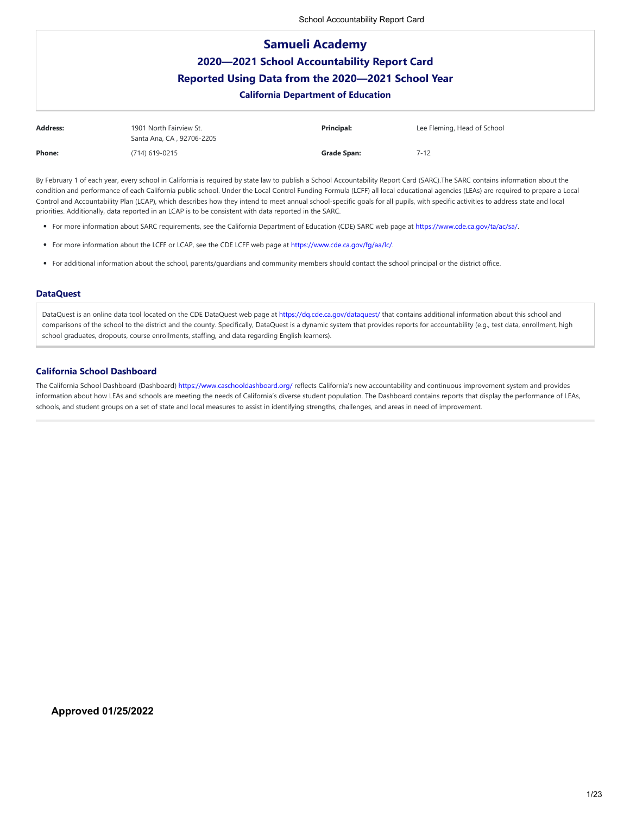# **Samueli Academy 2020—2021 School Accountability Report Card Reported Using Data from the 2020—2021 School Year California Department of Education**

| <b>Address:</b> | 1901 North Fairview St.<br>Santa Ana, CA, 92706-2205 | <b>Principal:</b> | Lee Fleming, Head of School |
|-----------------|------------------------------------------------------|-------------------|-----------------------------|
| <b>Phone:</b>   | (714) 619-0215                                       | Grade Span:       | 7-12                        |

By February 1 of each year, every school in California is required by state law to publish a School Accountability Report Card (SARC).The SARC contains information about the condition and performance of each California public school. Under the Local Control Funding Formula (LCFF) all local educational agencies (LEAs) are required to prepare a Local Control and Accountability Plan (LCAP), which describes how they intend to meet annual school-specific goals for all pupils, with specific activities to address state and local priorities. Additionally, data reported in an LCAP is to be consistent with data reported in the SARC.

- For more information about SARC requirements, see the California Department of Education (CDE) SARC web page at <https://www.cde.ca.gov/ta/ac/sa/>.
- For more information about the LCFF or LCAP, see the CDE LCFF web page at <https://www.cde.ca.gov/fg/aa/lc/>.
- For additional information about the school, parents/guardians and community members should contact the school principal or the district office.

# **DataQuest**

DataQuest is an online data tool located on the CDE DataQuest web page at <https://dq.cde.ca.gov/dataquest/>that contains additional information about this school and comparisons of the school to the district and the county. Specifically, DataQuest is a dynamic system that provides reports for accountability (e.g., test data, enrollment, high school graduates, dropouts, course enrollments, staffing, and data regarding English learners).

# **California School Dashboard**

The California School Dashboard (Dashboard)<https://www.caschooldashboard.org/> reflects California's new accountability and continuous improvement system and provides information about how LEAs and schools are meeting the needs of California's diverse student population. The Dashboard contains reports that display the performance of LEAs, schools, and student groups on a set of state and local measures to assist in identifying strengths, challenges, and areas in need of improvement.

## **Approved 01/25/2022**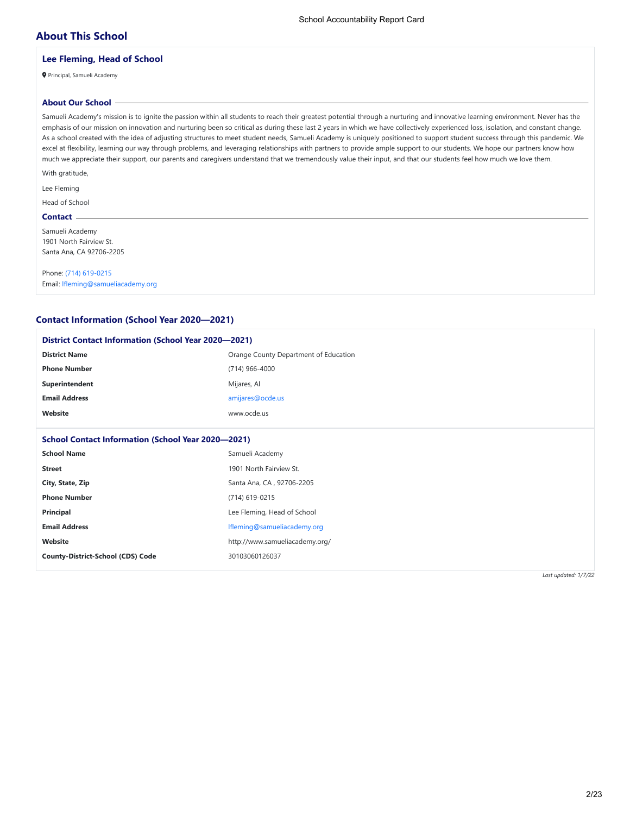# **About This School**

# **Lee Fleming, Head of School**

Principal, Samueli Academy

# **About Our School**

Samueli Academy's mission is to ignite the passion within all students to reach their greatest potential through a nurturing and innovative learning environment. Never has the emphasis of our mission on innovation and nurturing been so critical as during these last 2 years in which we have collectively experienced loss, isolation, and constant change. As a school created with the idea of adjusting structures to meet student needs, Samueli Academy is uniquely positioned to support student success through this pandemic. We excel at flexibility, learning our way through problems, and leveraging relationships with partners to provide ample support to our students. We hope our partners know how much we appreciate their support, our parents and caregivers understand that we tremendously value their input, and that our students feel how much we love them.

With gratitude,

Lee Fleming

# Head of School

**Contact**

Samueli Academy 1901 North Fairview St. Santa Ana, CA 92706-2205

Phone: [\(714\) 619-0215](tel:(714) 619-0215) Email: [lfleming@samueliacademy.org](mailto:lfleming@samueliacademy.org)

# **Contact Information (School Year 2020—2021)**

| <b>District Contact Information (School Year 2020–2021)</b> |                                       |
|-------------------------------------------------------------|---------------------------------------|
| <b>District Name</b>                                        | Orange County Department of Education |
| <b>Phone Number</b>                                         | (714) 966-4000                        |
| Superintendent                                              | Mijares, Al                           |
| <b>Email Address</b>                                        | amijares@ocde.us                      |
| Website                                                     | www.ocde.us                           |
|                                                             |                                       |
| <b>School Contact Information (School Year 2020–2021)</b>   |                                       |
| <b>School Name</b>                                          | Samueli Academy                       |
| <b>Street</b>                                               | 1901 North Fairview St.               |
| City, State, Zip                                            | Santa Ana, CA, 92706-2205             |
| <b>Phone Number</b>                                         | (714) 619-0215                        |
| Principal                                                   | Lee Fleming, Head of School           |
| <b>Email Address</b>                                        | Ifleming@samueliacademy.org           |
| Website                                                     | http://www.samueliacademy.org/        |
| <b>County-District-School (CDS) Code</b>                    | 30103060126037                        |
|                                                             |                                       |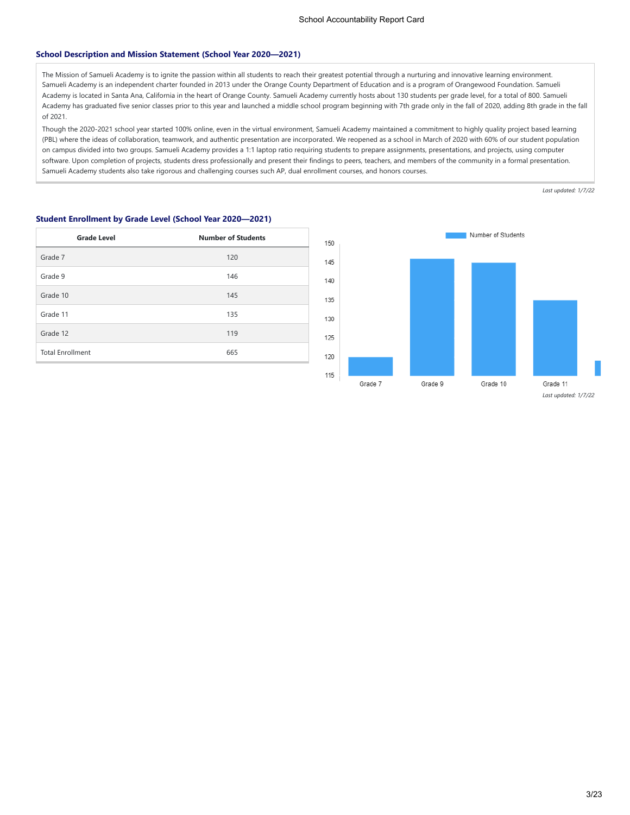### **School Description and Mission Statement (School Year 2020—2021)**

The Mission of Samueli Academy is to ignite the passion within all students to reach their greatest potential through a nurturing and innovative learning environment. Samueli Academy is an independent charter founded in 2013 under the Orange County Department of Education and is a program of Orangewood Foundation. Samueli Academy is located in Santa Ana, California in the heart of Orange County. Samueli Academy currently hosts about 130 students per grade level, for a total of 800. Samueli Academy has graduated five senior classes prior to this year and launched a middle school program beginning with 7th grade only in the fall of 2020, adding 8th grade in the fall of 2021.

Though the 2020-2021 school year started 100% online, even in the virtual environment, Samueli Academy maintained a commitment to highly quality project based learning (PBL) where the ideas of collaboration, teamwork, and authentic presentation are incorporated. We reopened as a school in March of 2020 with 60% of our student population on campus divided into two groups. Samueli Academy provides a 1:1 laptop ratio requiring students to prepare assignments, presentations, and projects, using computer software. Upon completion of projects, students dress professionally and present their findings to peers, teachers, and members of the community in a formal presentation. Samueli Academy students also take rigorous and challenging courses such AP, dual enrollment courses, and honors courses.

| <b>Grade Level</b>      | <b>Number of Students</b> |
|-------------------------|---------------------------|
| Grade 7                 | 120                       |
| Grade 9                 | 146                       |
| Grade 10                | 145                       |
| Grade 11                | 135                       |
| Grade 12                | 119                       |
| <b>Total Enrollment</b> | 665                       |



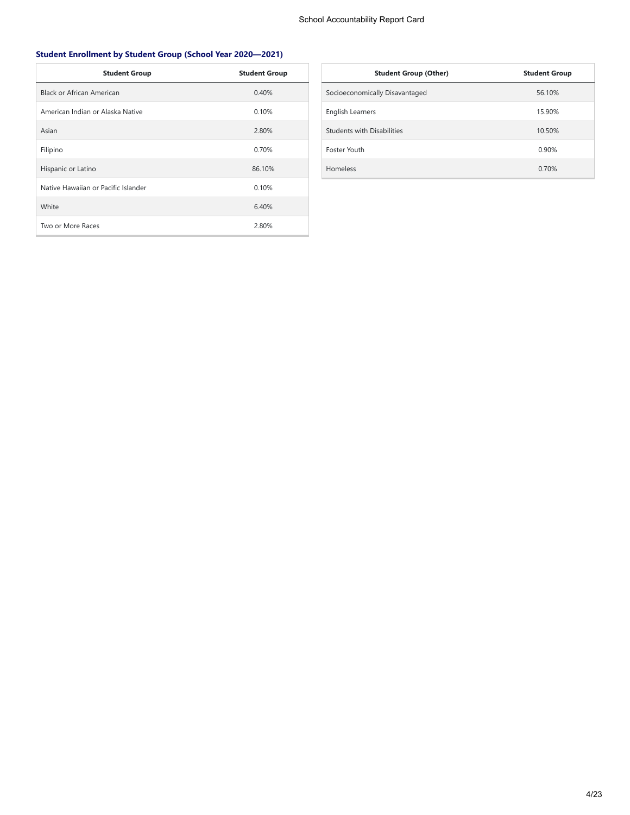# **Student Enrollment by Student Group (School Year 2020—2021)**

| <b>Student Group</b>                | <b>Student Group</b> |
|-------------------------------------|----------------------|
| Black or African American           | 0.40%                |
| American Indian or Alaska Native    | 0.10%                |
| Asian                               | 2.80%                |
| Filipino                            | 0.70%                |
| Hispanic or Latino                  | 86.10%               |
| Native Hawaiian or Pacific Islander | 0.10%                |
| White                               | 6.40%                |
| Two or More Races                   | 2.80%                |

| <b>Student Group (Other)</b>      | <b>Student Group</b> |
|-----------------------------------|----------------------|
| Socioeconomically Disavantaged    | 56.10%               |
| English Learners                  | 15.90%               |
| <b>Students with Disabilities</b> | 10.50%               |
| <b>Foster Youth</b>               | 0.90%                |
| Homeless                          | 0.70%                |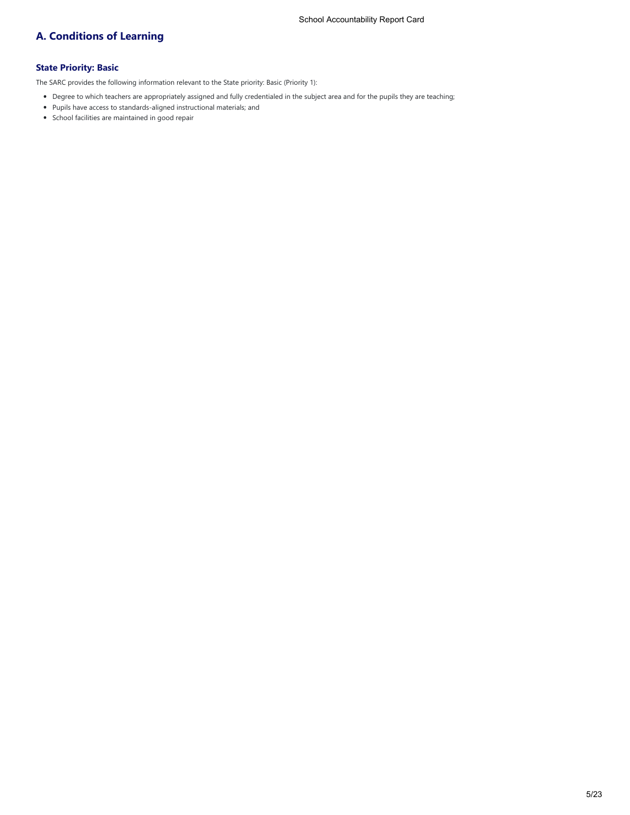# **A. Conditions of Learning**

# **State Priority: Basic**

The SARC provides the following information relevant to the State priority: Basic (Priority 1):

- Degree to which teachers are appropriately assigned and fully credentialed in the subject area and for the pupils they are teaching;
- Pupils have access to standards-aligned instructional materials; and
- School facilities are maintained in good repair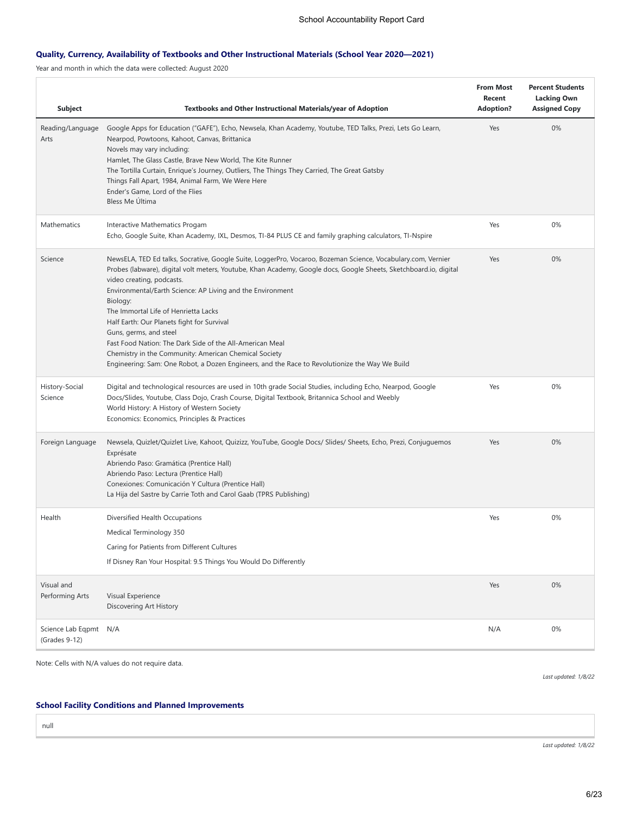# **Quality, Currency, Availability of Textbooks and Other Instructional Materials (School Year 2020—2021)**

Year and month in which the data were collected: August 2020

| <b>Subject</b>                         | Textbooks and Other Instructional Materials/year of Adoption                                                                                                                                                                                                                                                                                                                                                                                                                                                                                                                                                                                                                    | <b>From Most</b><br>Recent<br><b>Adoption?</b> | <b>Percent Students</b><br><b>Lacking Own</b><br><b>Assigned Copy</b> |
|----------------------------------------|---------------------------------------------------------------------------------------------------------------------------------------------------------------------------------------------------------------------------------------------------------------------------------------------------------------------------------------------------------------------------------------------------------------------------------------------------------------------------------------------------------------------------------------------------------------------------------------------------------------------------------------------------------------------------------|------------------------------------------------|-----------------------------------------------------------------------|
| Reading/Language<br>Arts               | Google Apps for Education ("GAFE"), Echo, Newsela, Khan Academy, Youtube, TED Talks, Prezi, Lets Go Learn,<br>Nearpod, Powtoons, Kahoot, Canvas, Brittanica<br>Novels may vary including:<br>Hamlet, The Glass Castle, Brave New World, The Kite Runner<br>The Tortilla Curtain, Enrique's Journey, Outliers, The Things They Carried, The Great Gatsby<br>Things Fall Apart, 1984, Animal Farm, We Were Here<br>Ender's Game, Lord of the Flies<br>Bless Me Última                                                                                                                                                                                                             | Yes                                            | 0%                                                                    |
| Mathematics                            | Interactive Mathematics Progam<br>Echo, Google Suite, Khan Academy, IXL, Desmos, TI-84 PLUS CE and family graphing calculators, TI-Nspire                                                                                                                                                                                                                                                                                                                                                                                                                                                                                                                                       | Yes                                            | $0\%$                                                                 |
| Science                                | NewsELA, TED Ed talks, Socrative, Google Suite, LoggerPro, Vocaroo, Bozeman Science, Vocabulary.com, Vernier<br>Probes (labware), digital volt meters, Youtube, Khan Academy, Google docs, Google Sheets, Sketchboard.io, digital<br>video creating, podcasts.<br>Environmental/Earth Science: AP Living and the Environment<br>Biology:<br>The Immortal Life of Henrietta Lacks<br>Half Earth: Our Planets fight for Survival<br>Guns, germs, and steel<br>Fast Food Nation: The Dark Side of the All-American Meal<br>Chemistry in the Community: American Chemical Society<br>Engineering: Sam: One Robot, a Dozen Engineers, and the Race to Revolutionize the Way We Build | Yes                                            | 0%                                                                    |
| History-Social<br>Science              | Digital and technological resources are used in 10th grade Social Studies, including Echo, Nearpod, Google<br>Docs/Slides, Youtube, Class Dojo, Crash Course, Digital Textbook, Britannica School and Weebly<br>World History: A History of Western Society<br>Economics: Economics, Principles & Practices                                                                                                                                                                                                                                                                                                                                                                     | Yes                                            | $0\%$                                                                 |
| Foreign Language                       | Newsela, Quizlet/Quizlet Live, Kahoot, Quizizz, YouTube, Google Docs/ Slides/ Sheets, Echo, Prezi, Conjuguemos<br>Exprésate<br>Abriendo Paso: Gramática (Prentice Hall)<br>Abriendo Paso: Lectura (Prentice Hall)<br>Conexiones: Comunicación Y Cultura (Prentice Hall)<br>La Hija del Sastre by Carrie Toth and Carol Gaab (TPRS Publishing)                                                                                                                                                                                                                                                                                                                                   | Yes                                            | $0\%$                                                                 |
| Health                                 | Diversified Health Occupations<br>Medical Terminology 350<br>Caring for Patients from Different Cultures<br>If Disney Ran Your Hospital: 9.5 Things You Would Do Differently                                                                                                                                                                                                                                                                                                                                                                                                                                                                                                    | Yes                                            | 0%                                                                    |
| Visual and<br>Performing Arts          | Visual Experience<br>Discovering Art History                                                                                                                                                                                                                                                                                                                                                                                                                                                                                                                                                                                                                                    | Yes                                            | 0%                                                                    |
| Science Lab Eqpmt N/A<br>(Grades 9-12) |                                                                                                                                                                                                                                                                                                                                                                                                                                                                                                                                                                                                                                                                                 | N/A                                            | 0%                                                                    |

Note: Cells with N/A values do not require data.

*Last updated: 1/8/22*

# **School Facility Conditions and Planned Improvements**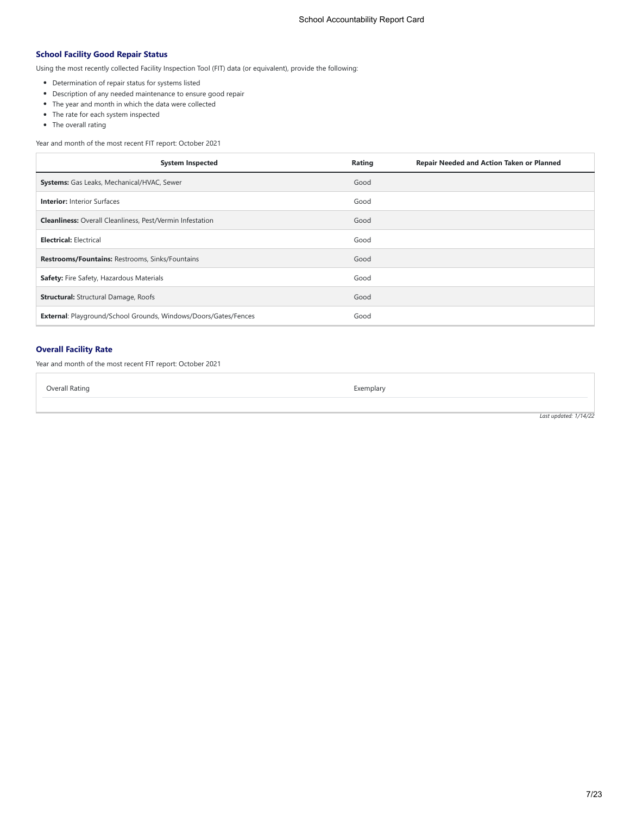# **School Facility Good Repair Status**

Using the most recently collected Facility Inspection Tool (FIT) data (or equivalent), provide the following:

- Determination of repair status for systems listed
- Description of any needed maintenance to ensure good repair
- The year and month in which the data were collected
- The rate for each system inspected
- The overall rating

Year and month of the most recent FIT report: October 2021

| <b>System Inspected</b>                                                | Rating<br><b>Repair Needed and Action Taken or Planned</b> |
|------------------------------------------------------------------------|------------------------------------------------------------|
| Systems: Gas Leaks, Mechanical/HVAC, Sewer                             | Good                                                       |
| <b>Interior: Interior Surfaces</b>                                     | Good                                                       |
| <b>Cleanliness:</b> Overall Cleanliness, Pest/Vermin Infestation       | Good                                                       |
| <b>Electrical: Electrical</b>                                          | Good                                                       |
| <b>Restrooms/Fountains: Restrooms, Sinks/Fountains</b>                 | Good                                                       |
| Safety: Fire Safety, Hazardous Materials                               | Good                                                       |
| <b>Structural:</b> Structural Damage, Roofs                            | Good                                                       |
| <b>External:</b> Playground/School Grounds, Windows/Doors/Gates/Fences | Good                                                       |

# **Overall Facility Rate**

Year and month of the most recent FIT report: October 2021

Overall Rating **Exemplary** Exemplary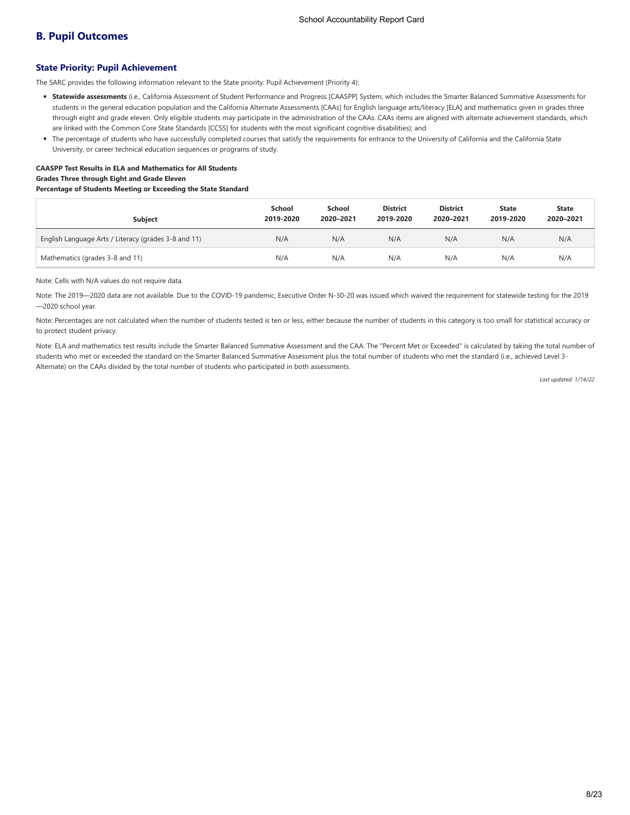# **B. Pupil Outcomes**

### **State Priority: Pupil Achievement**

The SARC provides the following information relevant to the State priority: Pupil Achievement (Priority 4):

- **Statewide assessments** (i.e., California Assessment of Student Performance and Progress [CAASPP] System, which includes the Smarter Balanced Summative Assessments for students in the general education population and the California Alternate Assessments [CAAs] for English language arts/literacy [ELA] and mathematics given in grades three through eight and grade eleven. Only eligible students may participate in the administration of the CAAs. CAAs items are aligned with alternate achievement standards, which are linked with the Common Core State Standards [CCSS] for students with the most significant cognitive disabilities); and
- The percentage of students who have successfully completed courses that satisfy the requirements for entrance to the University of California and the California State University, or career technical education sequences or programs of study.

# **CAASPP Test Results in ELA and Mathematics for All Students Grades Three through Eight and Grade Eleven**

### **Percentage of Students Meeting or Exceeding the State Standard**

| <b>Subject</b>                                       | School<br>2019-2020 | School<br>2020-2021 | <b>District</b><br>2019-2020 | <b>District</b><br>2020-2021 | <b>State</b><br>2019-2020 | <b>State</b><br>2020-2021 |
|------------------------------------------------------|---------------------|---------------------|------------------------------|------------------------------|---------------------------|---------------------------|
| English Language Arts / Literacy (grades 3-8 and 11) | N/A                 | N/A                 | N/A                          | N/A                          | N/A                       | N/A                       |
| Mathematics (grades 3-8 and 11)                      | N/A                 | N/A                 | N/A                          | N/A                          | N/A                       | N/A                       |

Note: Cells with N/A values do not require data.

Note: The 2019—2020 data are not available. Due to the COVID-19 pandemic, Executive Order N-30-20 was issued which waived the requirement for statewide testing for the 2019 —2020 school year.

Note: Percentages are not calculated when the number of students tested is ten or less, either because the number of students in this category is too small for statistical accuracy or to protect student privacy.

Note: ELA and mathematics test results include the Smarter Balanced Summative Assessment and the CAA. The "Percent Met or Exceeded" is calculated by taking the total number of students who met or exceeded the standard on the Smarter Balanced Summative Assessment plus the total number of students who met the standard (i.e., achieved Level 3- Alternate) on the CAAs divided by the total number of students who participated in both assessments.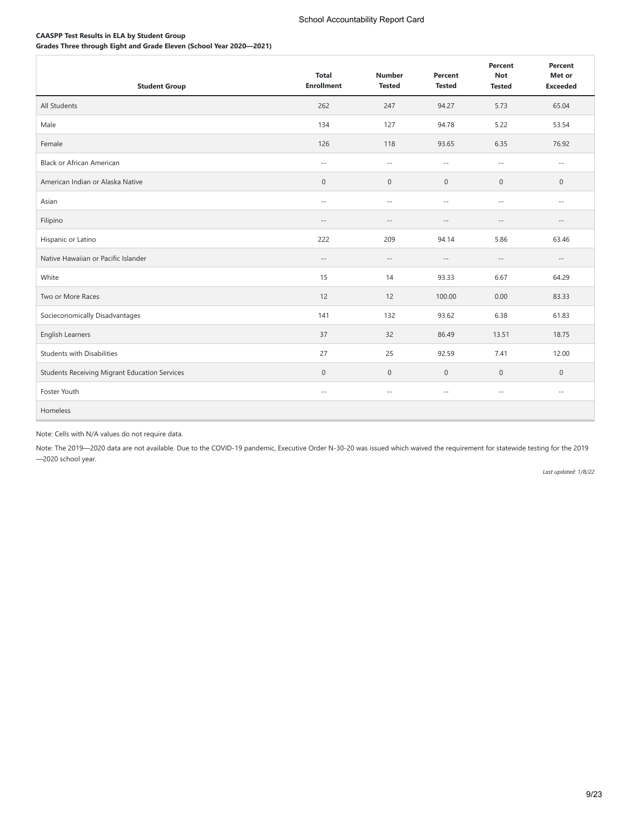# **CAASPP Test Results in ELA by Student Group**

**Grades Three through Eight and Grade Eleven (School Year 2020—2021)**

| <b>Student Group</b>                                 | <b>Total</b><br><b>Enrollment</b> | <b>Number</b><br><b>Tested</b> | Percent<br><b>Tested</b> | Percent<br><b>Not</b><br><b>Tested</b> | Percent<br>Met or<br><b>Exceeded</b> |
|------------------------------------------------------|-----------------------------------|--------------------------------|--------------------------|----------------------------------------|--------------------------------------|
| All Students                                         | 262                               | 247                            | 94.27                    | 5.73                                   | 65.04                                |
| Male                                                 | 134                               | 127                            | 94.78                    | 5.22                                   | 53.54                                |
| Female                                               | 126                               | 118                            | 93.65                    | 6.35                                   | 76.92                                |
| <b>Black or African American</b>                     | $\sim$ $-$                        | $-\,-$                         | $-\,-$                   | $\sim$ $-$                             | $\sim$ $-$                           |
| American Indian or Alaska Native                     | $\mathbf 0$                       | $\mathbf 0$                    | $\mathbf 0$              | $\mathbf 0$                            | 0                                    |
| Asian                                                | $\sim$ $-$                        | $\sim$ $-$                     | $\sim$ $\sim$            | $\sim$ $-$                             | $\sim$ $-$                           |
| Filipino                                             | $-\,-$                            | $-\,-$                         | $-\,-$                   | $-$                                    | $-\,-$                               |
| Hispanic or Latino                                   | 222                               | 209                            | 94.14                    | 5.86                                   | 63.46                                |
| Native Hawaiian or Pacific Islander                  | $\sim$ $-$                        | $\sim$ $-$                     | $\overline{\phantom{m}}$ | $\sim$ $-$                             | $\sim$ $-$                           |
| White                                                | 15                                | 14                             | 93.33                    | 6.67                                   | 64.29                                |
| Two or More Races                                    | 12                                | 12                             | 100.00                   | 0.00                                   | 83.33                                |
| Socieconomically Disadvantages                       | 141                               | 132                            | 93.62                    | 6.38                                   | 61.83                                |
| English Learners                                     | 37                                | 32                             | 86.49                    | 13.51                                  | 18.75                                |
| <b>Students with Disabilities</b>                    | 27                                | 25                             | 92.59                    | 7.41                                   | 12.00                                |
| <b>Students Receiving Migrant Education Services</b> | $\mathbf 0$                       | $\mathbf 0$                    | $\mathbf 0$              | 0                                      | $\mathbf 0$                          |
| Foster Youth                                         | $\sim$ $-$                        | $\sim$ $-$                     | $\sim$ $-$               | $\sim$ $\sim$                          | $\sim$ $-$                           |
| Homeless                                             |                                   |                                |                          |                                        |                                      |

# Note: Cells with N/A values do not require data.

Note: The 2019—2020 data are not available. Due to the COVID-19 pandemic, Executive Order N-30-20 was issued which waived the requirement for statewide testing for the 2019 —2020 school year.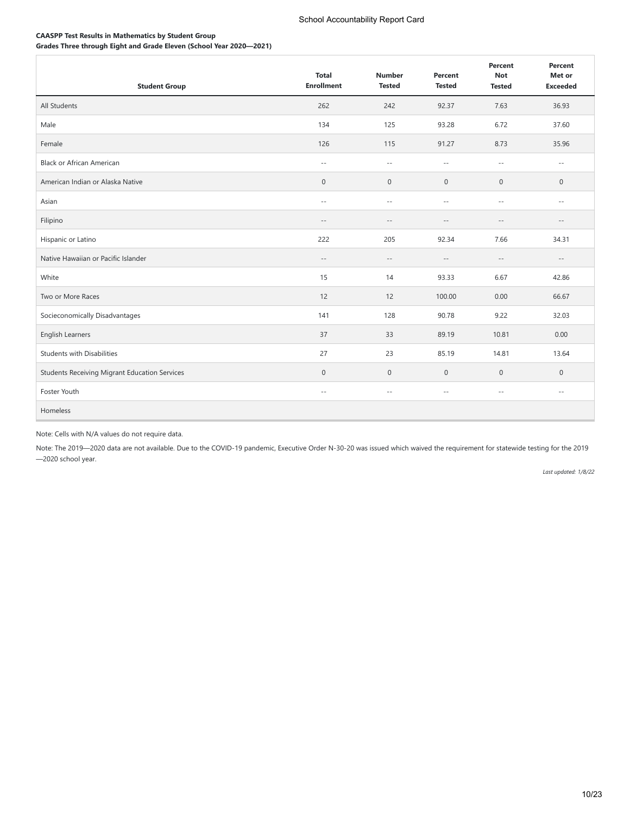# **CAASPP Test Results in Mathematics by Student Group**

**Grades Three through Eight and Grade Eleven (School Year 2020—2021)**

| <b>Student Group</b>                                 | <b>Total</b><br><b>Enrollment</b> | <b>Number</b><br><b>Tested</b> | Percent<br><b>Tested</b> | Percent<br><b>Not</b><br><b>Tested</b> | Percent<br>Met or<br><b>Exceeded</b> |
|------------------------------------------------------|-----------------------------------|--------------------------------|--------------------------|----------------------------------------|--------------------------------------|
| All Students                                         | 262                               | 242                            | 92.37                    | 7.63                                   | 36.93                                |
| Male                                                 | 134                               | 125                            | 93.28                    | 6.72                                   | 37.60                                |
| Female                                               | 126                               | 115                            | 91.27                    | 8.73                                   | 35.96                                |
| <b>Black or African American</b>                     | $\sim$ $-$                        | $\sim$ $-$                     | $\sim$ $\sim$            | $\sim$ $-$                             | $\sim$ $-$                           |
| American Indian or Alaska Native                     | $\mathbf 0$                       | $\mathbf 0$                    | $\mathbf 0$              | 0                                      | 0                                    |
| Asian                                                | $\sim$ $-$                        | $\sim$ $-$                     | $\sim$ $\sim$            | $\sim$ $-$                             | $\sim$ $-$                           |
| Filipino                                             | $-\,-$                            | $-\,-$                         | $-\,-$                   | $-$                                    | $-\,-$                               |
| Hispanic or Latino                                   | 222                               | 205                            | 92.34                    | 7.66                                   | 34.31                                |
| Native Hawaiian or Pacific Islander                  | $-\,-$                            | $-\,-$                         | $\overline{\phantom{m}}$ | $-\,-$                                 | $-\,-$                               |
| White                                                | 15                                | 14                             | 93.33                    | 6.67                                   | 42.86                                |
| Two or More Races                                    | 12                                | 12                             | 100.00                   | 0.00                                   | 66.67                                |
| Socieconomically Disadvantages                       | 141                               | 128                            | 90.78                    | 9.22                                   | 32.03                                |
| English Learners                                     | 37                                | 33                             | 89.19                    | 10.81                                  | 0.00                                 |
| <b>Students with Disabilities</b>                    | 27                                | 23                             | 85.19                    | 14.81                                  | 13.64                                |
| <b>Students Receiving Migrant Education Services</b> | $\mathbf 0$                       | $\mathbf 0$                    | $\mathbf 0$              | 0                                      | $\mathbf 0$                          |
| Foster Youth                                         | $\sim$ $-$                        | $ -$                           | $\sim$ $-$               | $\sim$ $-$                             | $\sim$ $-$                           |
| Homeless                                             |                                   |                                |                          |                                        |                                      |

# Note: Cells with N/A values do not require data.

Note: The 2019—2020 data are not available. Due to the COVID-19 pandemic, Executive Order N-30-20 was issued which waived the requirement for statewide testing for the 2019 —2020 school year.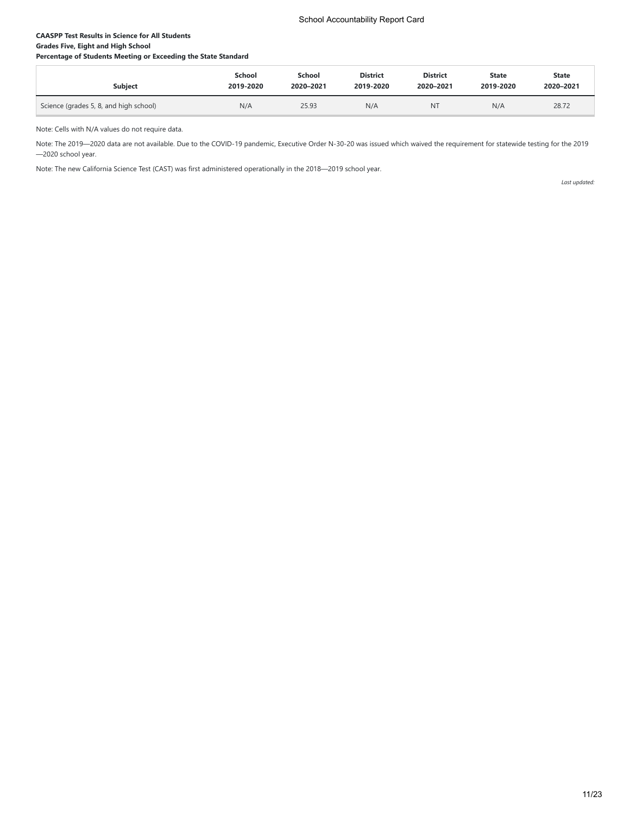# **CAASPP Test Results in Science for All Students Grades Five, Eight and High School**

**Percentage of Students Meeting or Exceeding the State Standard**

| Subject                                | School    | <b>School</b> | <b>District</b> | <b>District</b> | State     | <b>State</b> |
|----------------------------------------|-----------|---------------|-----------------|-----------------|-----------|--------------|
|                                        | 2019-2020 | 2020-2021     | 2019-2020       | 2020-2021       | 2019-2020 | 2020-2021    |
| Science (grades 5, 8, and high school) | N/A       | 25.93         | N/A             | <b>NT</b>       | N/A       | 28.72        |

Note: Cells with N/A values do not require data.

Note: The 2019—2020 data are not available. Due to the COVID-19 pandemic, Executive Order N-30-20 was issued which waived the requirement for statewide testing for the 2019 —2020 school year.

Note: The new California Science Test (CAST) was first administered operationally in the 2018—2019 school year.

*Last updated:*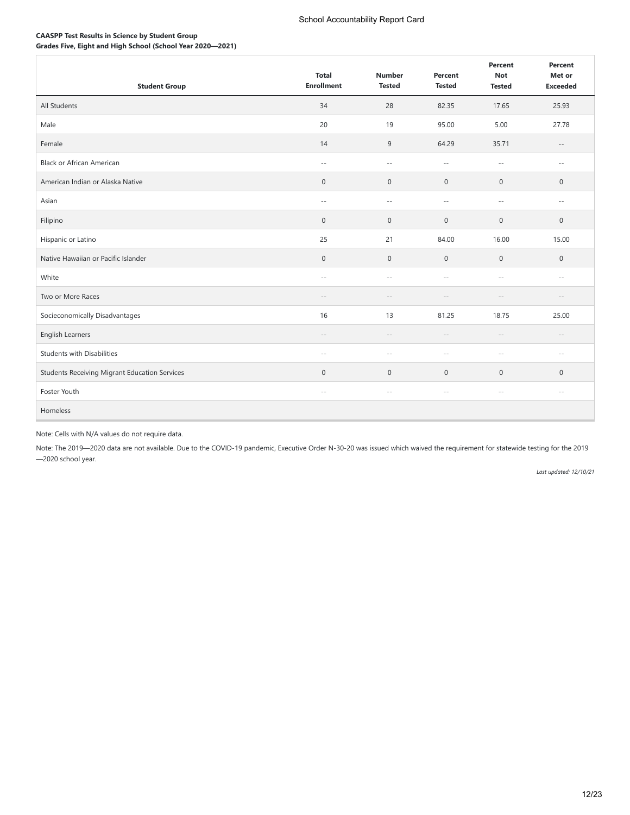# **CAASPP Test Results in Science by Student Group**

**Grades Five, Eight and High School (School Year 2020—2021)**

| <b>Student Group</b>                                 | <b>Total</b><br><b>Enrollment</b> | <b>Number</b><br><b>Tested</b> | Percent<br><b>Tested</b>   | Percent<br><b>Not</b><br><b>Tested</b> | Percent<br>Met or<br><b>Exceeded</b> |
|------------------------------------------------------|-----------------------------------|--------------------------------|----------------------------|----------------------------------------|--------------------------------------|
| All Students                                         | 34                                | 28                             | 82.35                      | 17.65                                  | 25.93                                |
| Male                                                 | 20                                | 19                             | 95.00                      | 5.00                                   | 27.78                                |
| Female                                               | 14                                | 9                              | 64.29                      | 35.71                                  | $\overline{\phantom{m}}$             |
| <b>Black or African American</b>                     | $\sim$ $-$                        | $\sim$ $-$                     | $\sim$ $-$                 | $\sim$ $-$                             | $\sim$ $-$                           |
| American Indian or Alaska Native                     | $\mathsf{O}\xspace$               | $\boldsymbol{0}$               | $\bf 0$                    | $\boldsymbol{0}$                       | 0                                    |
| Asian                                                | $\sim$ $-$                        | $ -$                           | $\sim$ $-$                 | $\sim$ $-$                             | $\sim$ $-$                           |
| Filipino                                             | $\mathbf 0$                       | $\mathbb O$                    | $\mathbf 0$                | $\boldsymbol{0}$                       | $\boldsymbol{0}$                     |
| Hispanic or Latino                                   | 25                                | 21                             | 84.00                      | 16.00                                  | 15.00                                |
| Native Hawaiian or Pacific Islander                  | $\mathsf{O}\xspace$               | $\mathbf 0$                    | $\mathbf 0$                | $\boldsymbol{0}$                       | $\mathsf{O}\xspace$                  |
| White                                                | $\sim$ $-$                        | $\sim$ $\sim$                  | $\sim$                     | $\sim$ $-$                             | $\sim$ $-$                           |
| Two or More Races                                    | $-$                               | $- -$                          | $\sim$                     | $\sim$                                 | $-$                                  |
| Socieconomically Disadvantages                       | 16                                | 13                             | 81.25                      | 18.75                                  | 25.00                                |
| English Learners                                     | $\overline{\phantom{m}}$          | $-\,-$                         | $\overline{\phantom{m}}$ . | $\qquad \qquad -$                      | $\overline{\phantom{m}}$             |
| <b>Students with Disabilities</b>                    | $\sim$ $-$                        | $\sim$ $-$                     | $\overline{\phantom{a}}$   | $\sim$ $-$                             | $\sim$ $-$                           |
| <b>Students Receiving Migrant Education Services</b> | $\mathbf 0$                       | $\mathbf 0$                    | $\mathbf{0}$               | $\boldsymbol{0}$                       | 0                                    |
| Foster Youth                                         | $\overline{\phantom{m}}$          | $-\,-$                         | $\sim$ $-$                 | $-\,-$                                 | $\overline{\phantom{m}}$             |
| Homeless                                             |                                   |                                |                            |                                        |                                      |

# Note: Cells with N/A values do not require data.

Note: The 2019—2020 data are not available. Due to the COVID-19 pandemic, Executive Order N-30-20 was issued which waived the requirement for statewide testing for the 2019 —2020 school year.

*Last updated: 12/10/21*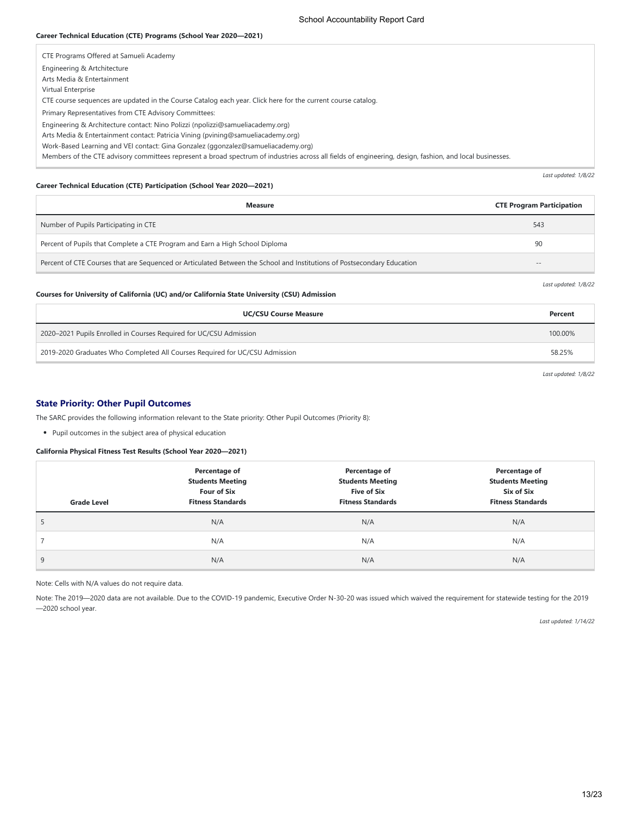#### **Career Technical Education (CTE) Programs (School Year 2020—2021)**

| CTE Programs Offered at Samueli Academy                                                                                                                  |
|----------------------------------------------------------------------------------------------------------------------------------------------------------|
| Engineering & Artchitecture                                                                                                                              |
| Arts Media & Entertainment                                                                                                                               |
| Virtual Enterprise                                                                                                                                       |
| CTE course sequences are updated in the Course Catalog each year. Click here for the current course catalog.                                             |
| Primary Representatives from CTE Advisory Committees:                                                                                                    |
| Engineering & Architecture contact: Nino Polizzi (npolizzi@samueliacademy.org)                                                                           |
| Arts Media & Entertainment contact: Patricia Vining (pvining@samueliacademy.org)                                                                         |
| Work-Based Learning and VEI contact: Gina Gonzalez (ggonzalez@samueliacademy.org)                                                                        |
| Members of the CTE advisory committees represent a broad spectrum of industries across all fields of engineering, design, fashion, and local businesses. |

### **Career Technical Education (CTE) Participation (School Year 2020—2021)**

| <b>Measure</b>                                                                                                          | <b>CTE Program Participation</b> |
|-------------------------------------------------------------------------------------------------------------------------|----------------------------------|
| Number of Pupils Participating in CTE                                                                                   | 543                              |
| Percent of Pupils that Complete a CTE Program and Earn a High School Diploma                                            | 90                               |
| Percent of CTE Courses that are Sequenced or Articulated Between the School and Institutions of Postsecondary Education | $- -$                            |

*Last updated: 1/8/22*

*Last updated: 1/8/22*

# **Courses for University of California (UC) and/or California State University (CSU) Admission**

| <b>UC/CSU Course Measure</b>                                                | Percent |
|-----------------------------------------------------------------------------|---------|
| 2020–2021 Pupils Enrolled in Courses Required for UC/CSU Admission          | 100.00% |
| 2019-2020 Graduates Who Completed All Courses Required for UC/CSU Admission | 58.25%  |

*Last updated: 1/8/22*

# **State Priority: Other Pupil Outcomes**

The SARC provides the following information relevant to the State priority: Other Pupil Outcomes (Priority 8):

Pupil outcomes in the subject area of physical education

#### **California Physical Fitness Test Results (School Year 2020—2021)**

| <b>Grade Level</b> | Percentage of<br><b>Students Meeting</b><br><b>Four of Six</b><br><b>Fitness Standards</b> | Percentage of<br><b>Students Meeting</b><br><b>Five of Six</b><br><b>Fitness Standards</b> | Percentage of<br><b>Students Meeting</b><br>Six of Six<br><b>Fitness Standards</b> |
|--------------------|--------------------------------------------------------------------------------------------|--------------------------------------------------------------------------------------------|------------------------------------------------------------------------------------|
| 5.                 | N/A                                                                                        | N/A                                                                                        | N/A                                                                                |
|                    | N/A                                                                                        | N/A                                                                                        | N/A                                                                                |
| 9                  | N/A                                                                                        | N/A                                                                                        | N/A                                                                                |

### Note: Cells with N/A values do not require data.

Note: The 2019—2020 data are not available. Due to the COVID-19 pandemic, Executive Order N-30-20 was issued which waived the requirement for statewide testing for the 2019 —2020 school year.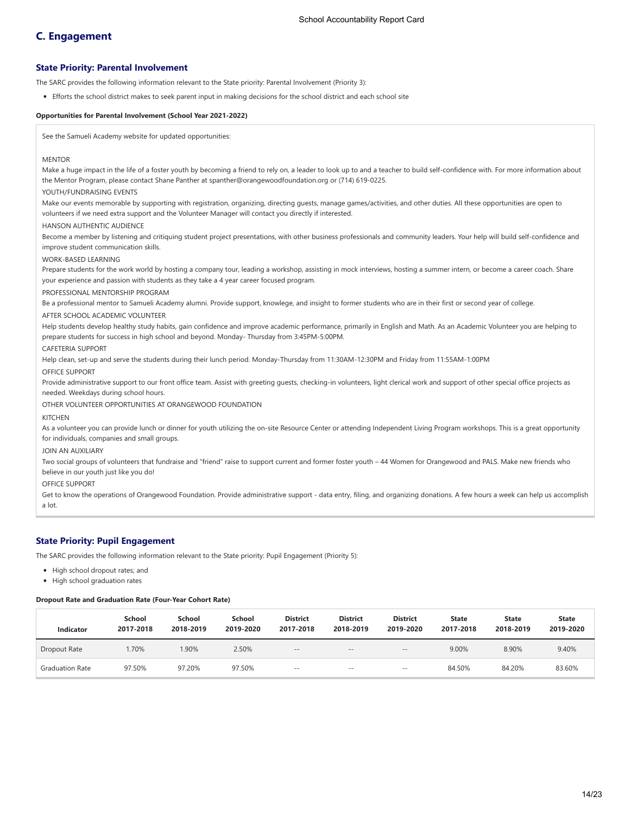# **C. Engagement**

## **State Priority: Parental Involvement**

The SARC provides the following information relevant to the State priority: Parental Involvement (Priority 3):

Efforts the school district makes to seek parent input in making decisions for the school district and each school site

#### **Opportunities for Parental Involvement (School Year 2021-2022)**

See the Samueli Academy website for updated opportunities:

#### **MENTOR**

Make a huge impact in the life of a foster youth by becoming a friend to rely on, a leader to look up to and a teacher to build self-confidence with. For more information about the Mentor Program, please contact Shane Panther at spanther@orangewoodfoundation.org or (714) 619-0225.

### YOUTH/FUNDRAISING EVENTS

Make our events memorable by supporting with registration, organizing, directing guests, manage games/activities, and other duties. All these opportunities are open to volunteers if we need extra support and the Volunteer Manager will contact you directly if interested.

#### HANSON AUTHENTIC AUDIENCE

Become a member by listening and critiquing student project presentations, with other business professionals and community leaders. Your help will build self-confidence and improve student communication skills.

#### WORK-BASED LEARNING

Prepare students for the work world by hosting a company tour, leading a workshop, assisting in mock interviews, hosting a summer intern, or become a career coach. Share your experience and passion with students as they take a 4 year career focused program.

### PROFESSIONAL MENTORSHIP PROGRAM

Be a professional mentor to Samueli Academy alumni. Provide support, knowlege, and insight to former students who are in their first or second year of college.

### AFTER SCHOOL ACADEMIC VOLUNTEER

Help students develop healthy study habits, gain confidence and improve academic performance, primarily in English and Math. As an Academic Volunteer you are helping to prepare students for success in high school and beyond. Monday- Thursday from 3:45PM-5:00PM.

#### CAFETERIA SUPPORT

Help clean, set-up and serve the students during their lunch period. Monday-Thursday from 11:30AM-12:30PM and Friday from 11:55AM-1:00PM

OFFICE SUPPORT

Provide administrative support to our front office team. Assist with greeting guests, checking-in volunteers, light clerical work and support of other special office projects as needed. Weekdays during school hours.

OTHER VOLUNTEER OPPORTUNITIES AT ORANGEWOOD FOUNDATION

#### **KITCHEN**

As a volunteer you can provide lunch or dinner for youth utilizing the on-site Resource Center or attending Independent Living Program workshops. This is a great opportunity for individuals, companies and small groups.

#### JOIN AN AUXILIARY

Two social groups of volunteers that fundraise and "friend" raise to support current and former foster youth – 44 Women for Orangewood and PALS. Make new friends who believe in our youth just like you do!

#### OFFICE SUPPORT

Get to know the operations of Orangewood Foundation. Provide administrative support - data entry, filing, and organizing donations. A few hours a week can help us accomplish a lot.

#### **State Priority: Pupil Engagement**

The SARC provides the following information relevant to the State priority: Pupil Engagement (Priority 5):

- High school dropout rates; and
- High school graduation rates

#### **Dropout Rate and Graduation Rate (Four-Year Cohort Rate)**

| <b>Indicator</b>       | <b>School</b><br>2017-2018 | School<br>2018-2019 | School<br>2019-2020 | <b>District</b><br>2017-2018 | <b>District</b><br>2018-2019 | <b>District</b><br>2019-2020 | <b>State</b><br>2017-2018 | <b>State</b><br>2018-2019 | <b>State</b><br>2019-2020 |
|------------------------|----------------------------|---------------------|---------------------|------------------------------|------------------------------|------------------------------|---------------------------|---------------------------|---------------------------|
| Dropout Rate           | 1.70%                      | .90%                | 2.50%               | $\sim$ $-$                   | $- -$                        | $= -$                        | 9.00%                     | 8.90%                     | 9.40%                     |
| <b>Graduation Rate</b> | 97.50%                     | 97.20%              | 97.50%              | $- -$                        | $- -$                        | $\sim$ $-$                   | 84.50%                    | 84.20%                    | 83.60%                    |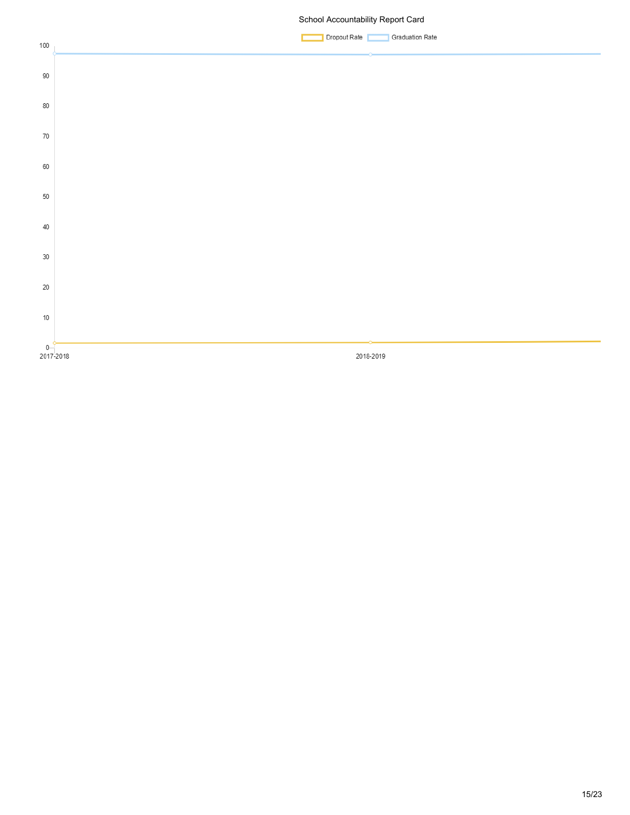# School Accountability Report Card

Dropout Rate Graduation Rate

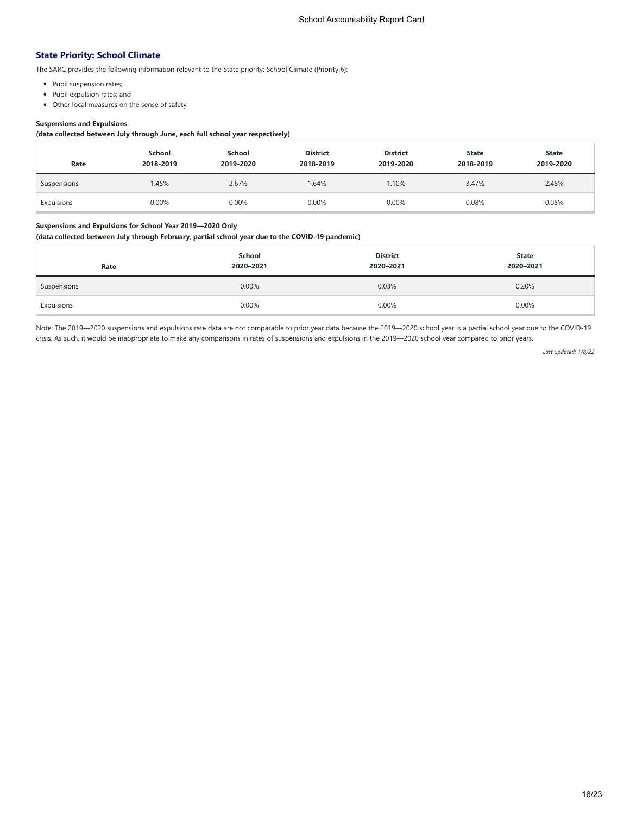# **State Priority: School Climate**

The SARC provides the following information relevant to the State priority: School Climate (Priority 6):

- Pupil suspension rates;
- Pupil expulsion rates; and
- Other local measures on the sense of safety

# **Suspensions and Expulsions**

**(data collected between July through June, each full school year respectively)**

| Rate        | School<br>2018-2019 | School<br>2019-2020 | <b>District</b><br>2018-2019 | <b>District</b><br>2019-2020 | <b>State</b><br>2018-2019 | <b>State</b><br>2019-2020 |
|-------------|---------------------|---------------------|------------------------------|------------------------------|---------------------------|---------------------------|
| Suspensions | 1.45%               | 2.67%               | .64%                         | 1.10%                        | 3.47%                     | 2.45%                     |
| Expulsions  | 0.00%               | 0.00%               | 0.00%                        | 0.00%                        | 0.08%                     | 0.05%                     |

# **Suspensions and Expulsions for School Year 2019—2020 Only**

# **(data collected between July through February, partial school year due to the COVID-19 pandemic)**

| Rate        | School<br>2020-2021 | <b>District</b><br>2020-2021 | <b>State</b><br>2020-2021 |
|-------------|---------------------|------------------------------|---------------------------|
| Suspensions | 0.00%               | 0.03%                        | 0.20%                     |
| Expulsions  | 0.00%               | 0.00%                        | 0.00%                     |

Note: The 2019—2020 suspensions and expulsions rate data are not comparable to prior year data because the 2019—2020 school year is a partial school year due to the COVID-19 crisis. As such, it would be inappropriate to make any comparisons in rates of suspensions and expulsions in the 2019—2020 school year compared to prior years.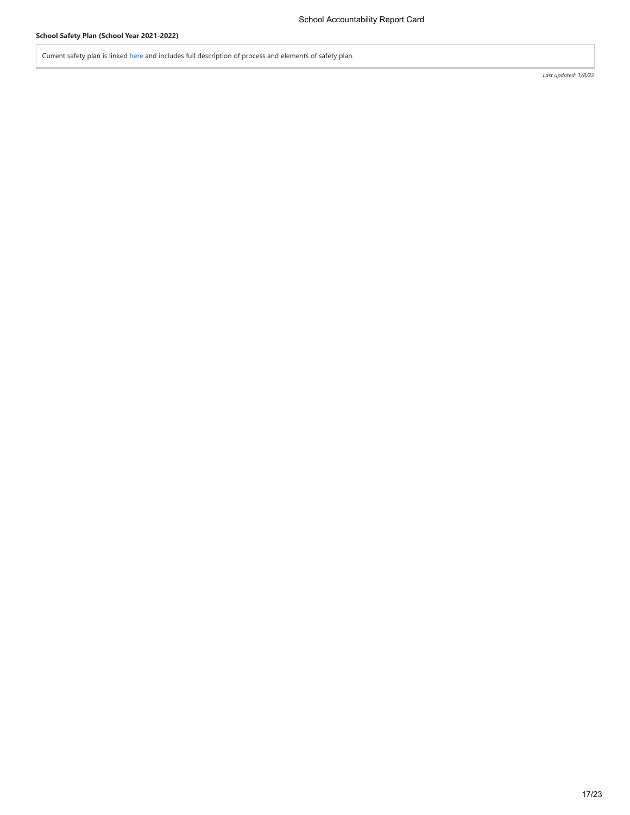Current safety plan is linked [here](https://samueliacademy.org/wp-content/uploads/2021/01/SA-Covid-Safety-Plan-Jan-2021.pdf) and includes full description of process and elements of safety plan.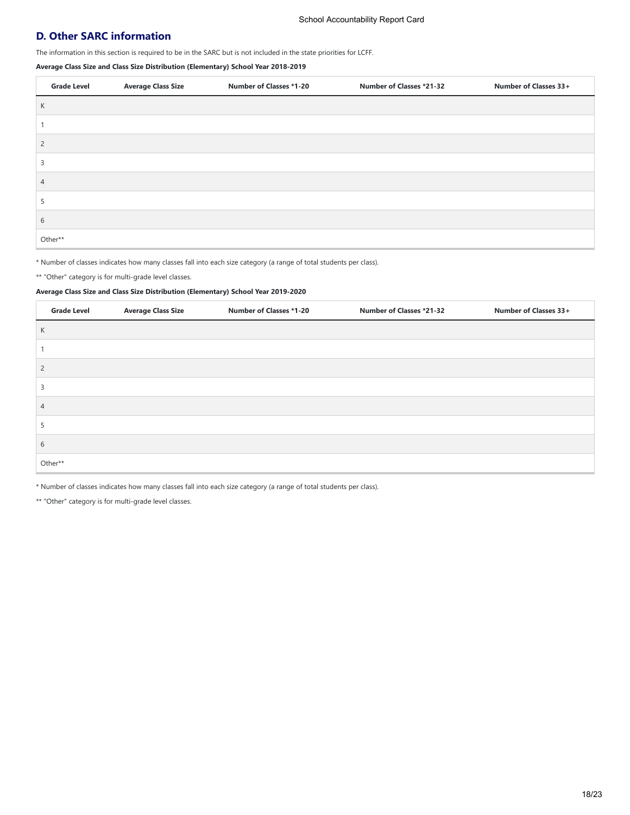# **D. Other SARC information**

The information in this section is required to be in the SARC but is not included in the state priorities for LCFF.

**Average Class Size and Class Size Distribution (Elementary) School Year 2018-2019**

| <b>Grade Level</b> | <b>Average Class Size</b> | <b>Number of Classes *1-20</b> | <b>Number of Classes *21-32</b> | Number of Classes 33+ |
|--------------------|---------------------------|--------------------------------|---------------------------------|-----------------------|
| K                  |                           |                                |                                 |                       |
|                    |                           |                                |                                 |                       |
| $\overline{2}$     |                           |                                |                                 |                       |
| ∍                  |                           |                                |                                 |                       |
| 4                  |                           |                                |                                 |                       |
|                    |                           |                                |                                 |                       |
| 6                  |                           |                                |                                 |                       |
| Other**            |                           |                                |                                 |                       |

\* Number of classes indicates how many classes fall into each size category (a range of total students per class).

\*\* "Other" category is for multi-grade level classes.

# **Average Class Size and Class Size Distribution (Elementary) School Year 2019-2020**

| <b>Grade Level</b> | <b>Average Class Size</b> | <b>Number of Classes *1-20</b> | Number of Classes *21-32 | Number of Classes 33+ |
|--------------------|---------------------------|--------------------------------|--------------------------|-----------------------|
| К                  |                           |                                |                          |                       |
|                    |                           |                                |                          |                       |
| $\overline{c}$     |                           |                                |                          |                       |
| 3                  |                           |                                |                          |                       |
| $\overline{4}$     |                           |                                |                          |                       |
| 5                  |                           |                                |                          |                       |
| 6                  |                           |                                |                          |                       |
| Other**            |                           |                                |                          |                       |

\* Number of classes indicates how many classes fall into each size category (a range of total students per class).

\*\* "Other" category is for multi-grade level classes.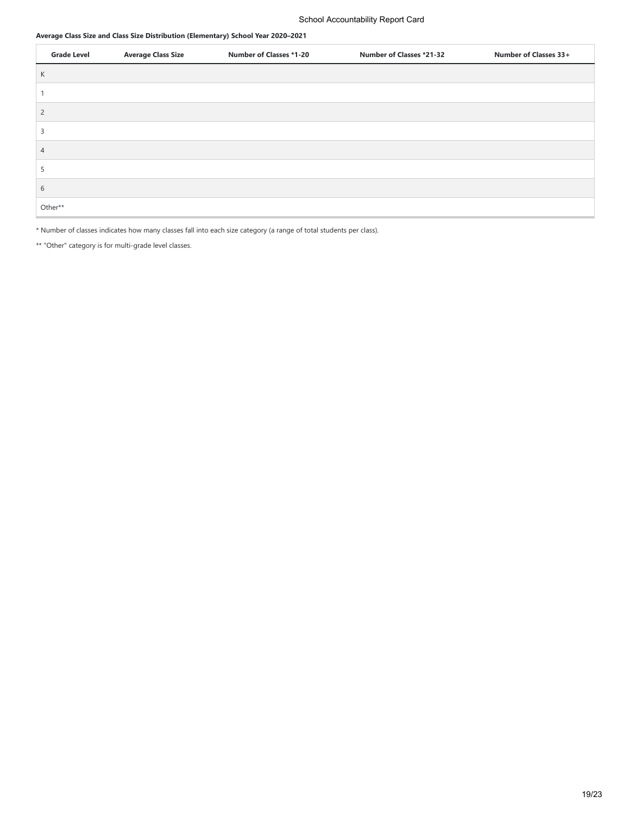## **Average Class Size and Class Size Distribution (Elementary) School Year 2020–2021**

| <b>Grade Level</b> | <b>Average Class Size</b> | <b>Number of Classes *1-20</b> | <b>Number of Classes *21-32</b> | Number of Classes 33+ |
|--------------------|---------------------------|--------------------------------|---------------------------------|-----------------------|
| К                  |                           |                                |                                 |                       |
|                    |                           |                                |                                 |                       |
| $\overline{2}$     |                           |                                |                                 |                       |
| 3                  |                           |                                |                                 |                       |
| 4                  |                           |                                |                                 |                       |
| C.                 |                           |                                |                                 |                       |
| 6                  |                           |                                |                                 |                       |
| Other**            |                           |                                |                                 |                       |

\* Number of classes indicates how many classes fall into each size category (a range of total students per class).

\*\* "Other" category is for multi-grade level classes.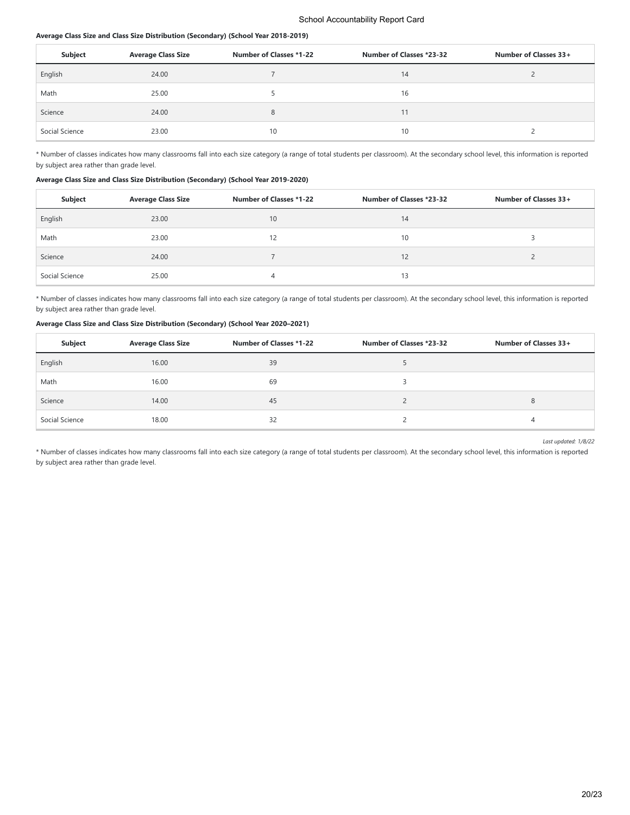### **Average Class Size and Class Size Distribution (Secondary) (School Year 2018-2019)**

| Subject        | <b>Average Class Size</b> | <b>Number of Classes *1-22</b> | Number of Classes *23-32 | Number of Classes 33+ |
|----------------|---------------------------|--------------------------------|--------------------------|-----------------------|
| English        | 24.00                     |                                | 14                       |                       |
| Math           | 25.00                     |                                | 16                       |                       |
| Science        | 24.00                     | 8                              | 11                       |                       |
| Social Science | 23.00                     | 10                             | 10                       |                       |

\* Number of classes indicates how many classrooms fall into each size category (a range of total students per classroom). At the secondary school level, this information is reported by subject area rather than grade level.

#### **Average Class Size and Class Size Distribution (Secondary) (School Year 2019-2020)**

| Subject        | <b>Average Class Size</b> | Number of Classes *1-22 | Number of Classes *23-32 | Number of Classes 33+ |
|----------------|---------------------------|-------------------------|--------------------------|-----------------------|
| English        | 23.00                     | 10                      | 14                       |                       |
| Math           | 23.00                     | 12                      | 10                       |                       |
| Science        | 24.00                     |                         | 12                       |                       |
| Social Science | 25.00                     | 4                       | 13                       |                       |

\* Number of classes indicates how many classrooms fall into each size category (a range of total students per classroom). At the secondary school level, this information is reported by subject area rather than grade level.

### **Average Class Size and Class Size Distribution (Secondary) (School Year 2020–2021)**

| Subject        | <b>Average Class Size</b> | <b>Number of Classes *1-22</b> | Number of Classes *23-32 | Number of Classes 33+ |
|----------------|---------------------------|--------------------------------|--------------------------|-----------------------|
| English        | 16.00                     | 39                             |                          |                       |
| Math           | 16.00                     | 69                             |                          |                       |
| Science        | 14.00                     | 45                             |                          | o                     |
| Social Science | 18.00                     | 32                             |                          | 4                     |

*Last updated: 1/8/22*

\* Number of classes indicates how many classrooms fall into each size category (a range of total students per classroom). At the secondary school level, this information is reported by subject area rather than grade level.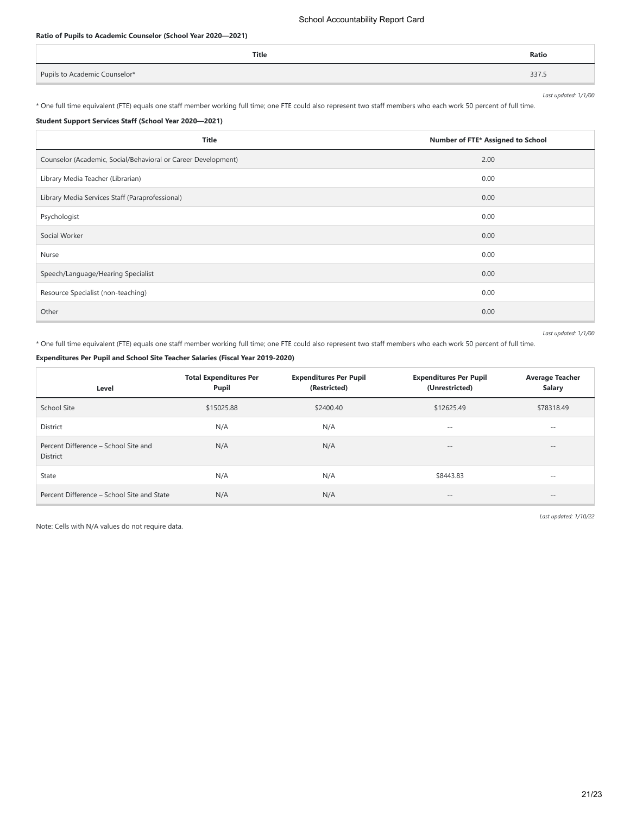### School Accountability Report Card

# **Ratio of Pupils to Academic Counselor (School Year 2020—2021)**

|                               | Title | Ratio |
|-------------------------------|-------|-------|
| Pupils to Academic Counselor* |       | 337.5 |

\* One full time equivalent (FTE) equals one staff member working full time; one FTE could also represent two staff members who each work 50 percent of full time.

# **Student Support Services Staff (School Year 2020—2021)**

| <b>Title</b>                                                  | Number of FTE* Assigned to School |
|---------------------------------------------------------------|-----------------------------------|
| Counselor (Academic, Social/Behavioral or Career Development) | 2.00                              |
| Library Media Teacher (Librarian)                             | 0.00                              |
| Library Media Services Staff (Paraprofessional)               | 0.00                              |
| Psychologist                                                  | 0.00                              |
| Social Worker                                                 | 0.00                              |
| Nurse                                                         | 0.00                              |
| Speech/Language/Hearing Specialist                            | 0.00                              |
| Resource Specialist (non-teaching)                            | 0.00                              |
| Other                                                         | 0.00                              |

*Last updated: 1/1/00*

*Last updated: 1/1/00*

\* One full time equivalent (FTE) equals one staff member working full time; one FTE could also represent two staff members who each work 50 percent of full time.

# **Expenditures Per Pupil and School Site Teacher Salaries (Fiscal Year 2019-2020)**

| Level                                                   | <b>Total Expenditures Per</b><br>Pupil | <b>Expenditures Per Pupil</b><br>(Restricted) | <b>Expenditures Per Pupil</b><br>(Unrestricted) | <b>Average Teacher</b><br>Salary |
|---------------------------------------------------------|----------------------------------------|-----------------------------------------------|-------------------------------------------------|----------------------------------|
| School Site                                             | \$15025.88                             | \$2400.40                                     | \$12625.49                                      | \$78318.49                       |
| District                                                | N/A                                    | N/A                                           | $\frac{1}{2}$                                   | $\sim$ $-$                       |
| Percent Difference - School Site and<br><b>District</b> | N/A                                    | N/A                                           | $\qquad \qquad -$                               | $- -$                            |
| State                                                   | N/A                                    | N/A                                           | \$8443.83                                       | $- -$                            |
| Percent Difference - School Site and State              | N/A                                    | N/A                                           | $\qquad \qquad -$                               | $- -$                            |

Note: Cells with N/A values do not require data.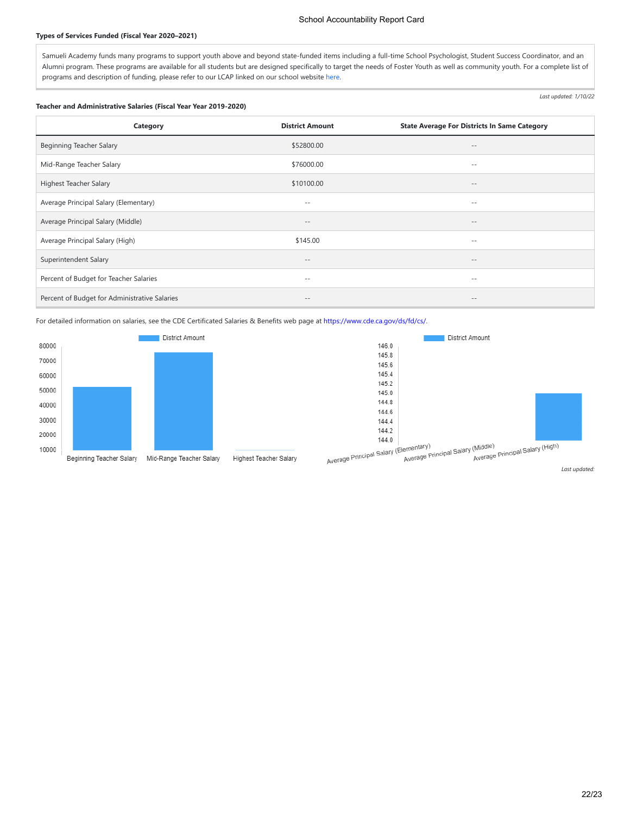### School Accountability Report Card

#### **Types of Services Funded (Fiscal Year 2020–2021)**

Samueli Academy funds many programs to support youth above and beyond state-funded items including a full-time School Psychologist, Student Success Coordinator, and an Alumni program. These programs are available for all students but are designed specifically to target the needs of Foster Youth as well as community youth. For a complete list of programs and description of funding, please refer to our LCAP linked on our school website [here](https://samueliacademy.org/wp-content/uploads/2021/07/2019-22-SAMUELI-LCAP-1.pdf).

#### **Teacher and Administrative Salaries (Fiscal Year Year 2019-2020)**

*Last updated: 1/10/22*

| Category                                      | <b>District Amount</b> | <b>State Average For Districts In Same Category</b> |
|-----------------------------------------------|------------------------|-----------------------------------------------------|
| <b>Beginning Teacher Salary</b>               | \$52800.00             | $\qquad \qquad -$                                   |
| Mid-Range Teacher Salary                      | \$76000.00             | $- -$                                               |
| Highest Teacher Salary                        | \$10100.00             | $\qquad \qquad -$                                   |
| Average Principal Salary (Elementary)         | $- -$                  | $- -$                                               |
| Average Principal Salary (Middle)             | $\qquad \qquad -$      | $- -$                                               |
| Average Principal Salary (High)               | \$145.00               | $- -$                                               |
| Superintendent Salary                         | $- -$                  | $\qquad \qquad -$                                   |
| Percent of Budget for Teacher Salaries        | $ -$                   | $- -$                                               |
| Percent of Budget for Administrative Salaries | $- -$                  | $\qquad \qquad -$                                   |

For detailed information on salaries, see the CDE Certificated Salaries & Benefits web page at<https://www.cde.ca.gov/ds/fd/cs/>.





Highest Teacher Salary

*Last updated:*